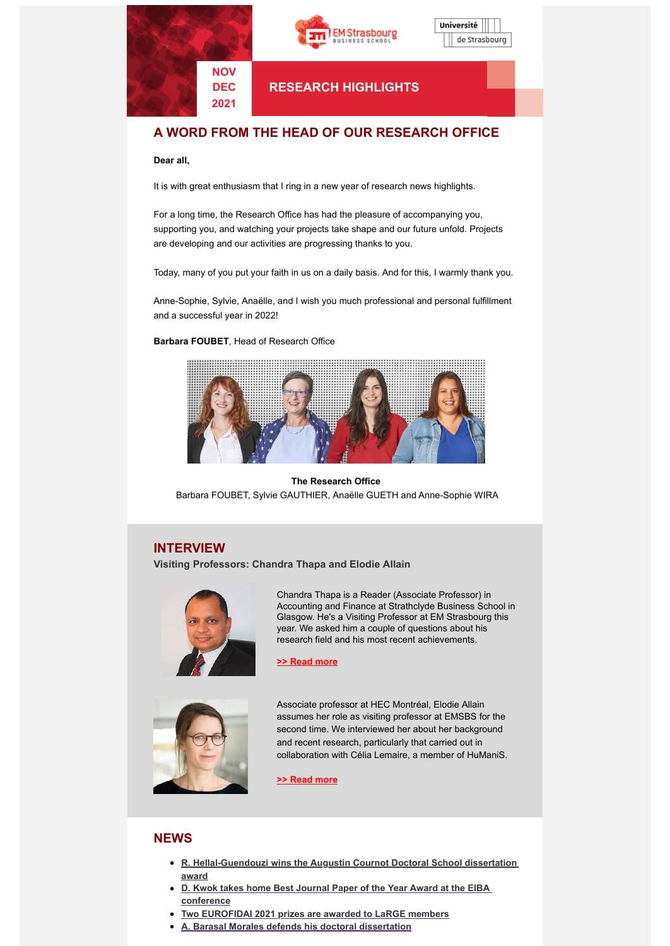





**RESEARCH HIGHLIGHTS**

# **A WORD FROM THE HEAD OF OUR RESEARCH OFFICE**

### **Dear all,**

It is with great enthusiasm that I ring in a new year of research news highlights.

For a long time, the Research Office has had the pleasure of accompanying you, supporting you, and watching your projects take shape and our future unfold. Projects are developing and our activities are progressing thanks to you.

Today, many of you put your faith in us on a daily basis. And for this, I warmly thank you.

Anne-Sophie, Sylvie, Anaëlle, and I wish you much professional and personal fulfillment and a successful year in 2022!

### **Barbara FOUBET**, Head of Research Office



## **The Research Office** Barbara FOUBET, Sylvie GAUTHIER, Anaëlle GUETH and Anne-Sophie WIRA

## **INTERVIEW**

**Visiting Professors: Chandra Thapa and Elodie Allain**



Chandra Thapa is a Reader (Associate Professor) in Accounting and Finance at Strathclyde Business School in Glasgow. He's a Visiting Professor at EM Strasbourg this year. We asked him a couple of questions about his research field and his most recent achievements.

**>> [Read](https://www.em-strasbourg.com/fr/actualites/chandra-thapa-interview-visiting-professor) more**



Associate professor at HEC Montréal, Elodie Allain assumes her role as visiting professor at EMSBS for the second time. We interviewed her about her background and recent research, particularly that carried out in collaboration with Célia Lemaire, a member of HuManiS.

### **>> [Read](https://www.em-strasbourg.com/en/news/elodie-allain-interview-visiting-professor) more**

## **NEWS**

- **R. [Hellal-Guendouzi](https://www.em-strasbourg.com/en/news/r-hellal-guendouzi-wins-augustin-cournot-doctoral-school-phd-dissertation-award) wins the Augustin Cournot Doctoral School dissertation award**
- **D. Kwok takes home Best Journal Paper of the Year Award at the EIBA [conference](https://www.em-strasbourg.com/en/news/d-kwok-takes-home-best-journal-paper-year-award-eiba-conference)**
- **Two [EUROFIDAI](https://www.em-strasbourg.com/en/news/two-eurofidai-2021-prizes-are-awarded-large-members) 2021 prizes are awarded to LaRGE members**
- **A. Barasal Morales defends his doctoral [dissertation](https://www.em-strasbourg.com/en/news/barasal-morales-defends-his-doctoral-dissertation)**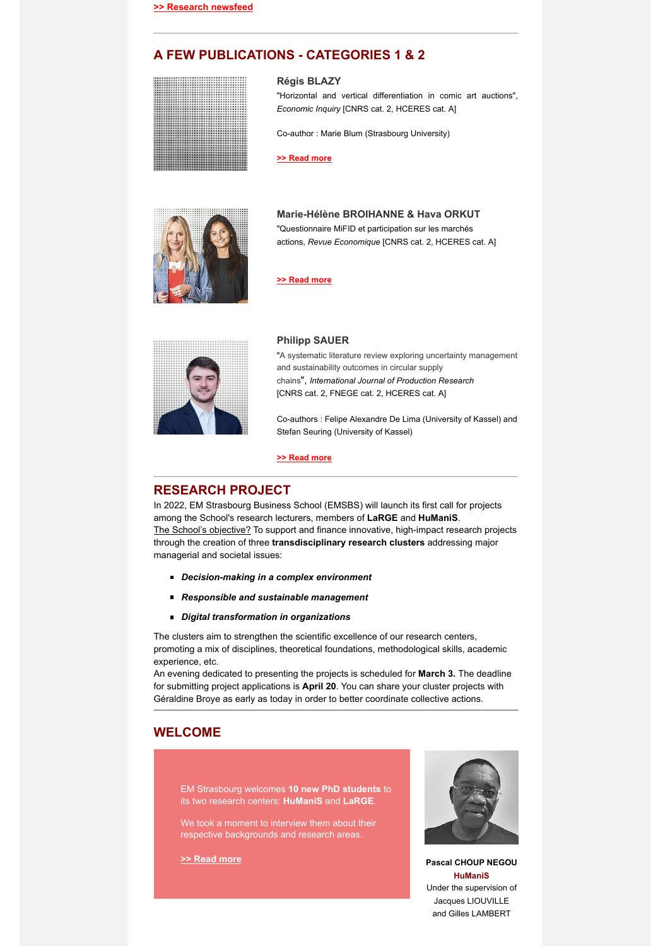# **A FEW PUBLICATIONS - CATEGORIES 1 & 2**

#### **Régis BLAZY**

"Horizontal and vertical differentiation in comic art auctions", *Economic Inquiry* [CNRS cat. 2, HCERES cat. A]

Co-author : Marie Blum (Strasbourg University)

**[>> Read more](https://www.em-strasbourg.com/en/news/r-blazy-publishes-economic-inquiry)**



## **Marie-Hélène BROIHANNE & Hava ORKUT**

"Questionnaire MiFID et participation sur les marchés actions, *Revue Economique* [CNRS cat. 2, HCERES cat. A]

# **[>> Read more](https://www.em-strasbourg.com/en/news/m-h-broihanne-h-orkut-publishes-revue-economique)**



#### **Philipp SAUER**

"A systematic literature review exploring uncertainty management and sustainability outcomes in circular supply chains", *International Journal of Production Research* [CNRS cat. 2, FNEGE cat. 2, HCERES cat. A]

Co-authors : Felipe Alexandre De Lima (University of Kassel) and Stefan Seuring (University of Kassel)

### **[>> Read more](https://www.em-strasbourg.com/en/news/p-sauer-publishes-international-journal-production-research)**

## **RESEARCH PROJECT**

In 2022, EM Strasbourg Business School (EMSBS) will launch its first call for projects among the School's research lecturers, members of **LaRGE** and **HuManiS**. The School's objective? To support and finance innovative, high-impact research projects through the creation of three **transdisciplinary research clusters** addressing major managerial and societal issues:

- *Decision-making in a complex environment*
- *Responsible and sustainable management*
- *Digital transformation in organizations*

The clusters aim to strengthen the scientific excellence of our research centers, promoting a mix of disciplines, theoretical foundations, methodological skills, academic experience, etc.

An evening dedicated to presenting the projects is scheduled for **March 3.** The deadline for submitting project applications is **April 20**. You can share your cluster projects with Géraldine Broye as early as today in order to better coordinate collective actions.

## **WELCOME**

EM Strasbourg welcomes **10 new PhD students** to its two research centers: **HuManiS** and **LaRGE**.

We took a moment to interview them about their respective backgrounds and research areas.



**>> Read [more](https://www.em-strasbourg.com/en/news/welcome-our-new-phd-students) Pascal CHOUP NEGOU HuManiS** Under the supervision of Jacques LIOUVILLE and Gilles LAMBERT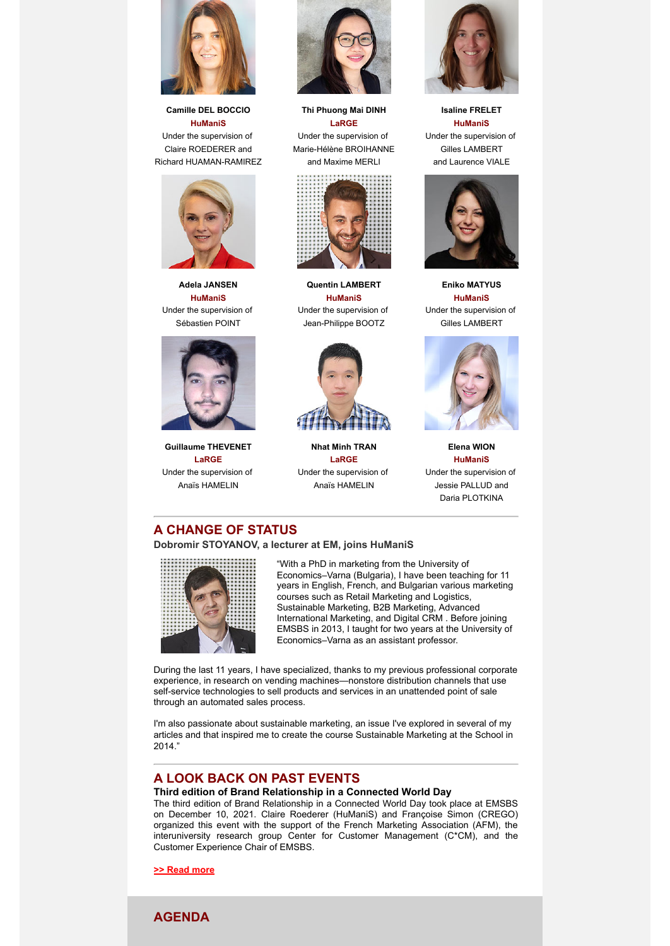

**Camille DEL BOCCIO HuManiS** Under the supervision of Claire ROEDERER and Richard HUAMAN-RAMIREZ



**Adela JANSEN HuManiS** Under the supervision of Sébastien POINT



**Guillaume THEVENET LaRGE** Under the supervision of Anaïs HAMELIN



**Thi Phuong Mai DINH LaRGE** Under the supervision of Marie-Hélène BROIHANNE and Maxime MERLI



**Quentin LAMBERT HuManiS** Under the supervision of Jean-Philippe BOOTZ



**Nhat Minh TRAN LaRGE** Under the supervision of Anaïs HAMELIN



**Isaline FRELET HuManiS** Under the supervision of Gilles LAMBERT and Laurence VIALE



**Eniko MATYUS HuManiS** Under the supervision of Gilles LAMBERT



**Elena WION HuManiS** Under the supervision of Jessie PALLUD and Daria PLOTKINA

# **A CHANGE OF STATUS**

**Dobromir STOYANOV, a lecturer at EM, joins HuManiS**



"With a PhD in marketing from the University of Economics–Varna (Bulgaria), I have been teaching for 11 years in English, French, and Bulgarian various marketing courses such as Retail Marketing and Logistics, Sustainable Marketing, B2B Marketing, Advanced International Marketing, and Digital CRM . Before joining EMSBS in 2013, I taught for two years at the University of Economics–Varna as an assistant professor.

During the last 11 years, I have specialized, thanks to my previous professional corporate experience, in research on vending machines—nonstore distribution channels that use self-service technologies to sell products and services in an unattended point of sale through an automated sales process.

I'm also passionate about sustainable marketing, an issue I've explored in several of my articles and that inspired me to create the course Sustainable Marketing at the School in 2014."

## **A LOOK BACK ON PAST EVENTS**

### **Third edition of Brand Relationship in a Connected World Day**

The third edition of Brand Relationship in a Connected World Day took place at EMSBS on December 10, 2021. Claire Roederer (HuManiS) and Françoise Simon (CREGO) organized this event with the support of the French Marketing Association (AFM), the interuniversity research group Center for Customer Management (C\*CM), and the Customer Experience Chair of EMSBS.

**>> Read [more](https://www.em-strasbourg.com/en/news/look-back-third-edition-brand-relationship-connected-world-day)**

**AGENDA**